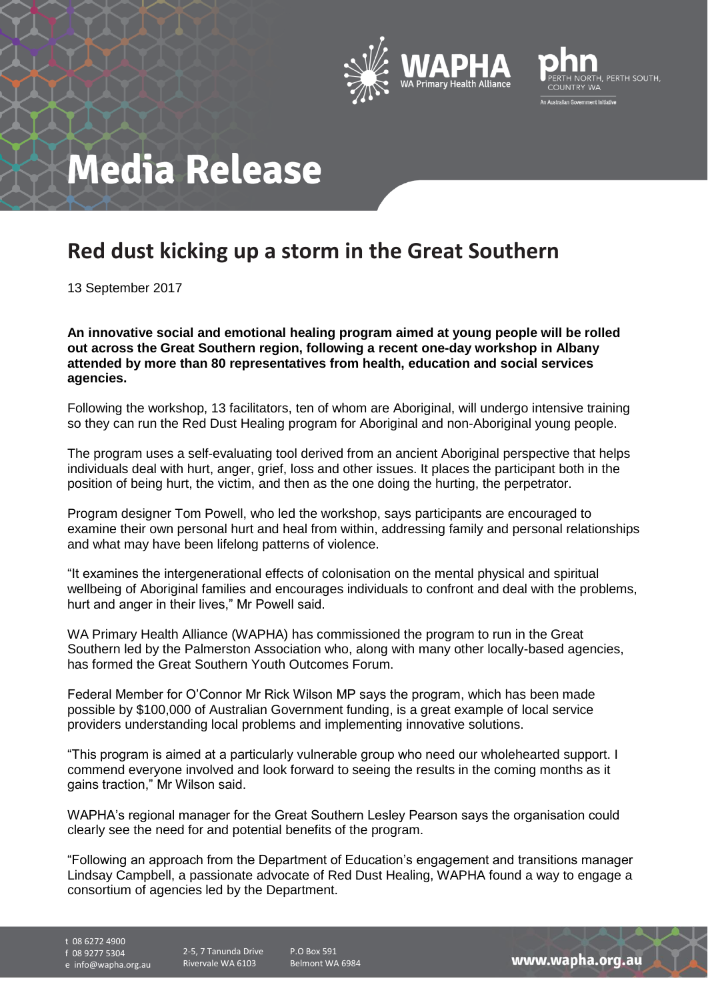



## **Media Release**

## **Red dust kicking up a storm in the Great Southern**

13 September 2017

**An innovative social and emotional healing program aimed at young people will be rolled out across the Great Southern region, following a recent one-day workshop in Albany attended by more than 80 representatives from health, education and social services agencies.**

Following the workshop, 13 facilitators, ten of whom are Aboriginal, will undergo intensive training so they can run the Red Dust Healing program for Aboriginal and non-Aboriginal young people.

The program uses a self-evaluating tool derived from an ancient Aboriginal perspective that helps individuals deal with hurt, anger, grief, loss and other issues. It places the participant both in the position of being hurt, the victim, and then as the one doing the hurting, the perpetrator.

Program designer Tom Powell, who led the workshop, says participants are encouraged to examine their own personal hurt and heal from within, addressing family and personal relationships and what may have been lifelong patterns of violence.

"It examines the intergenerational effects of colonisation on the mental physical and spiritual wellbeing of Aboriginal families and encourages individuals to confront and deal with the problems, hurt and anger in their lives," Mr Powell said.

WA Primary Health Alliance (WAPHA) has commissioned the program to run in the Great Southern led by the Palmerston Association who, along with many other locally-based agencies, has formed the Great Southern Youth Outcomes Forum.

Federal Member for O'Connor Mr Rick Wilson MP says the program, which has been made possible by \$100,000 of Australian Government funding, is a great example of local service providers understanding local problems and implementing innovative solutions.

"This program is aimed at a particularly vulnerable group who need our wholehearted support. I commend everyone involved and look forward to seeing the results in the coming months as it gains traction," Mr Wilson said.

WAPHA's regional manager for the Great Southern Lesley Pearson says the organisation could clearly see the need for and potential benefits of the program.

"Following an approach from the Department of Education's engagement and transitions manager Lindsay Campbell, a passionate advocate of Red Dust Healing, WAPHA found a way to engage a consortium of agencies led by the Department.

t 08 6272 4900

f 08 9277 5304

e info@wapha.org.au

Rivervale WA 6103

2-5, 7 Tanunda Drive P.O Box 591 Belmont WA 6984

www.wapha.org.au